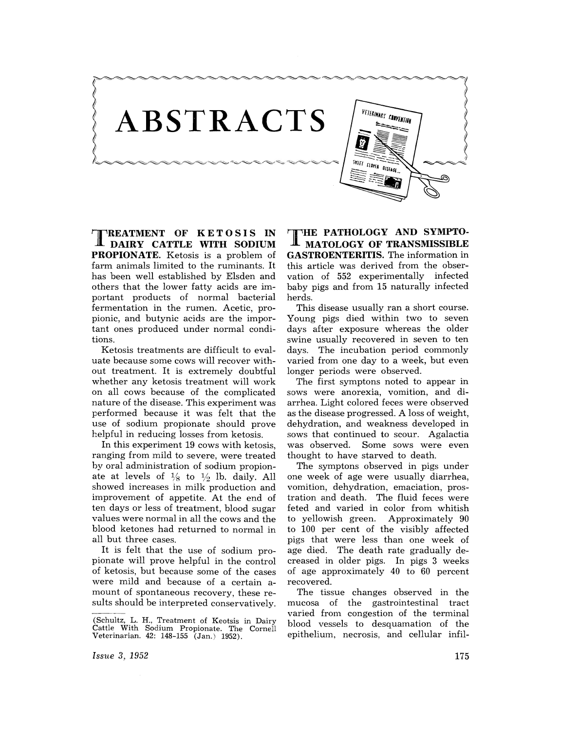ABSTRACTS

~-~~~~~~~~~~.~~.-~~-~!

 $\frac{1}{2}$ ,  $\frac{1}{2}$ ,  $\frac{1}{2}$ ,  $\frac{1}{2}$ ,  $\frac{1}{2}$ ,  $\frac{1}{2}$ ,  $\frac{1}{2}$ ,  $\frac{1}{2}$ ,  $\frac{1}{2}$ ,  $\frac{1}{2}$ ,  $\frac{1}{2}$ ,  $\frac{1}{2}$ ,  $\frac{1}{2}$ ,  $\frac{1}{2}$ ,  $\frac{1}{2}$ ,  $\frac{1}{2}$ ,  $\frac{1}{2}$ ,  $\frac{1}{2}$ ,  $\frac{1}{2}$ ,  $\frac{1}{2}$ ,

TREATMENT **OF KETOSIS IN DAIRY CATTLE WITH SODIUM PROPIONATE.** Ketosis is a problem of farm animals limited to the ruminants. It has been well established by Elsden and others that the lower fatty acids are important products of normal bacterial fermentation in the rumen. Acetic, propionic, and butynic acids are the important ones produced under normal conditions.

Ketosis treatments are difficult to evaluate because some cows will recover without treatment. It is extremely doubtful whether any ketosis treatment will work on all cows because of the complicated nature of the disease. This experiment was performed because it was felt that the use of sodium propionate should prove helpful in reducing losses from ketosis.

In this experiment 19 cows with ketosis, ranging from mild to severe, were treated by oral administration of sodium propionate at levels of  $\frac{1}{8}$  to  $\frac{1}{2}$  lb. daily. All showed increases in milk production and improvement of appetite. At the end of ten days or less of treatment, blood sugar values were normal in all the cows and the blood ketones had returned to normal in all but three cases.

It is felt that the use of sodium propionate will prove helpful in the control of ketosis, but because some of the cases were mild and because of a certain amount of spontaneous recovery, these results should be interpreted conservatively.

**THE PATHOLOGY AND SYMPTO-MATOLOGY OF TRANSMISSIBLE GASTROENTERITIS.** The information in this article was derived from the observation of 552 experimentally infected baby pigs and from 15 naturally infected herds.

This disease usually ran a short course. Young pigs died within two to seven days after exposure whereas the older swine usually recovered in seven to ten days. The incubation period commonly varied from one day to a week, but even longer periods were observed.

The first symptons noted to appear in sows were anorexia, vomition, and diarrhea. Light colored feces were observed as the disease progressed. A loss of weight, dehydration, and weakness developed in sows that continued to scour. Agalactia was observed. Some sows were even thought to have starved to death.

The symptons observed in pigs under one week of age were usually diarrhea, vomition, dehydration, emaciation, prostration and death. The fluid feces were feted and varied in color from whitish to yellowish green. Approximately 90 to 100 per cent of the visibly affected pigs that were less than one week of age died. The death rate gradually decreased in older pigs. In pigs 3 weeks of age approximately 40 to 60 percent recovered.

The tissue changes observed in the mucosa of the gastrointestinal tract varied from congestion of the terminal blood vessels to desquamation of the epithelium, necrosis, and cellular infil-

*ISSlte* 3, 1952

**}** 

<sup>(</sup>Schultz, L. H., Treatment of Keotsis in Dairy Cattle With Sodium Propionate. The Cornell Veterinarian. 42: 148-155 (Jan.) 1952).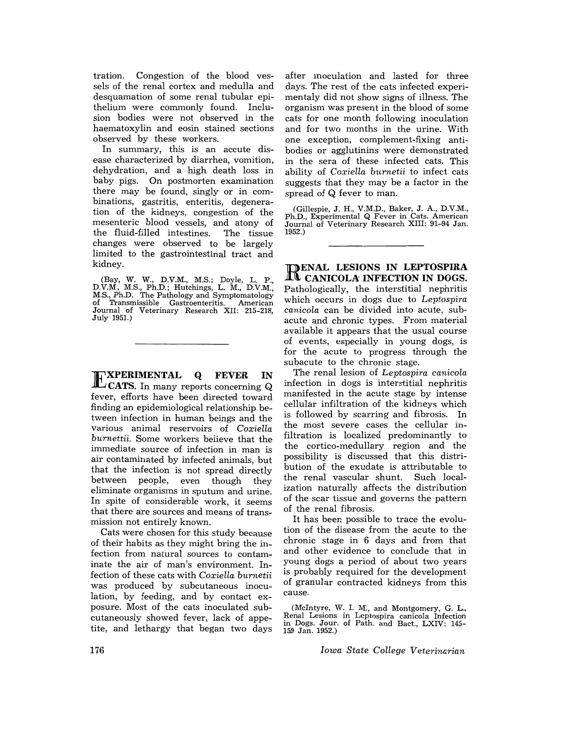tration. Congestion of the blood vessels of the renal cortex and medulla and desquamation of some renal tubular epithelium were commonly found. Inclusion bodies were not observed in the haematoxylin and eosin stained sections observed by these workers.

In summary, this is an accute disease characterized by diarrhea, vomition, dehydration, and a high death loss in baby pigs. On postmorten examination there may be found, singly or in combinations, gastritis, enteritis, degeneration of the kidneys, congestion of the mesenteric blood vessels, and atony of the fluid-filled intestines. The tissue changes were observed to be largely limited to the gastrointestinal tract and kidney.

(Bay, W. W., D.V.M., M.S.; Doyle, L. P., D.V:M., M.S., Ph.D.; Hutchings, L. M., D.V.M., M.S., Ph.D. The Pathology and Symptomatology of Transmissible Gastroenteritis. American Journal of Veterinary Research XII: 215-218, July 1951.)

EXPERIMENTAL **<sup>Q</sup>FEVER IN CATS.** In many reports concerning Q fever, efforts have been directed toward finding an epidemiological relationship between infection in human beings and the various animal reservoirs of *Coxiella burnettii.* Some workers believe that the immediate source of infection in man is air contaminated by infected animals, but that the infection is not spread directly between people, even though they eliminate organisms in sputum and urine. In spite of considerable work, it seems that there are sources and means of transmission not entirely known.

Cats were chosen for this study because of their habits as they might bring the infection from natural sources to contaminate the air of man's environment. Infection of these cats with *Coxiella burnetii*  was produced by subcutaneous inoculation, by feeding, and by contact exposure. Most of the cats inoculated subcutaneously showed fever, lack of appetite, and lethargy that began two days after moculation and lasted for three days. The rest of the cats infected experimentaly did not show signs of illness. The organism was present in the blood of some cats for one month following inoculation and for two months in the urine. With one exception, complement-fixing antibodies or agglutinins were demonstrated in the sera of these infected cats. This ability of *Coxiella burnetii* to infect cats suggests that they may be a factor in the spread of Q fever to man.

(Gillespie, J. H., V.M.D., Baker, J. A., D.V.M., Ph.D., Experimental Q Fever in Cats. American Journal of Veterinary Research XIII: 91-94 Jan. 1952.)

RENAL **LESIONS IN LEPTOSPIRA CANICOLA: INFECTION IN DOGS.**  Pathologically, the interstitial nephritis which occurs in dogs due to *Leptospira canicola* can be divided into acute, subacute and chronic types. From material available it appears that the usual course of events, especially in young dogs, is for the acute to progress through the subacute to the chronic stage.

The renal lesion of *Leptospira canicola*  infection in dogs is interstitial nephritis manifested in the acute stage by intense cellular infiltration of the kidneys which is followed by scarring and fibrosis. In the most severe cases the cellular infiltration is localized predominantly to the cortico-medullary region and the possibility is discussed that this distribution of the exudate is attributable to the renal vascular shunt. Such localization naturally affects the distribution of the scar tissue and governs the pattern of the renal fibrosis.

It has been possible to trace the evolution of the disease from the acute to the chronic stage in 6 days and from that and other evidence to conclude that in young dogs a period of about two years is probably required for the development of granular contracted kidneys from this cause.

(McIntyre, W. I. M., and Montgomery, G. L., Renal Lesions in Leptospira canicola Infection in Dogs. Jour. of Path. and Bact., LXIV: 145- 159 Jan. 1952.)

*Iowa State College Veterinarian*